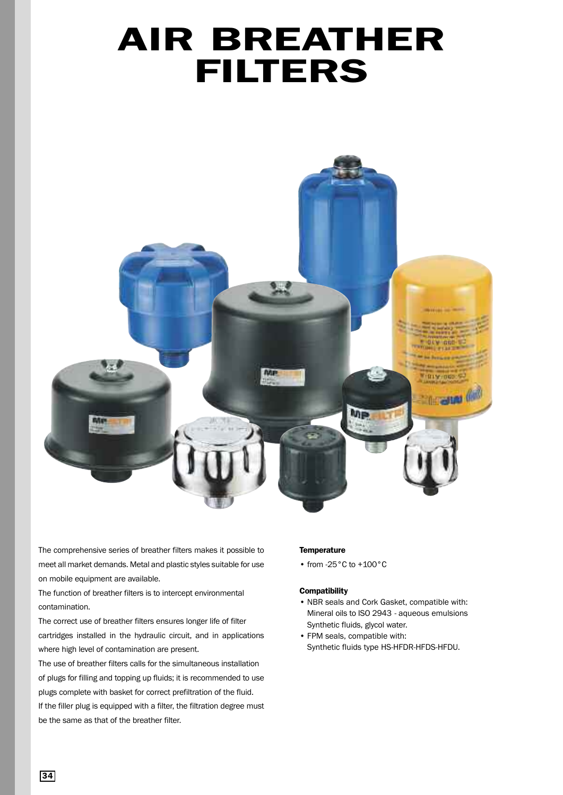# **AIR BREATHER FILTERS**



The comprehensive series of breather filters makes it possible to meet all market demands. Metal and plastic styles suitable for use on mobile equipment are available.

The function of breather filters is to intercept environmental contamination.

The correct use of breather filters ensures longer life of filter cartridges installed in the hydraulic circuit, and in applications where high level of contamination are present.

The use of breather filters calls for the simultaneous installation of plugs for filling and topping up fluids; it is recommended to use plugs complete with basket for correct prefiltration of the fluid. If the filler plug is equipped with a filter, the filtration degree must be the same as that of the breather filter.

#### **Temperature**

• from -25°C to +100°C

#### **Compatibility**

- NBR seals and Cork Gasket, compatible with: Mineral oils to ISO 2943 - aqueous emulsions Synthetic fluids, glycol water.
- FPM seals, compatible with: Synthetic fluids type HS-HFDR-HFDS-HFDU.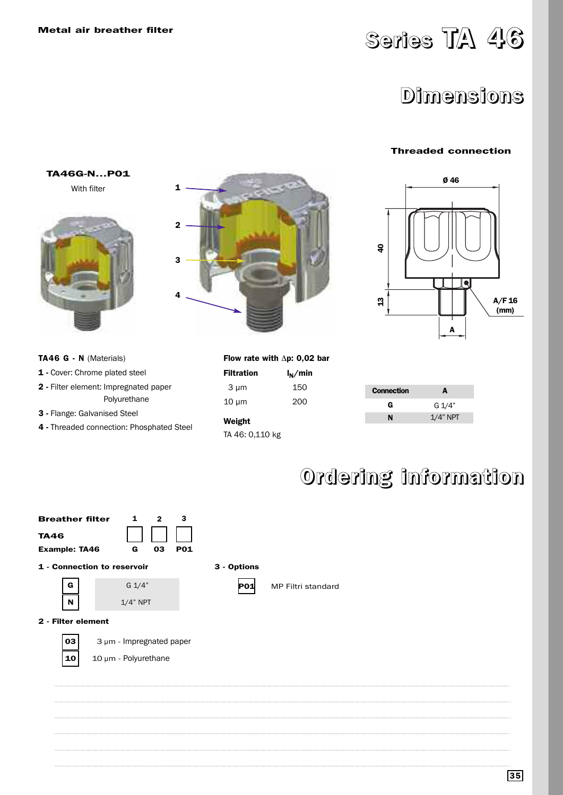## **Series TA 46**

### **Dimensions**

### **Threaded connection**



#### **TA46 G - N** (Materials)

**TA46G-N...P01** With filter

- **1 -** Cover: Chrome plated steel
- **2 -** Filter element: Impregnated paper Polyurethane
- **3 -** Flange: Galvanised Steel
- **4 -** Threaded connection: Phosphated Steel



|                   | Flow rate with $\Delta p$ : 0,02 bar |
|-------------------|--------------------------------------|
| <b>Filtration</b> | $I_N/m$ in                           |
| 3 µm              | 150                                  |

10 µm 200 **Weight** 

TA 46: 0,110 kg

| <b>Connection</b> | A           |
|-------------------|-------------|
|                   |             |
| G                 | G 1/4"      |
| N                 | $1/4$ " NPT |

## **Ordering information**

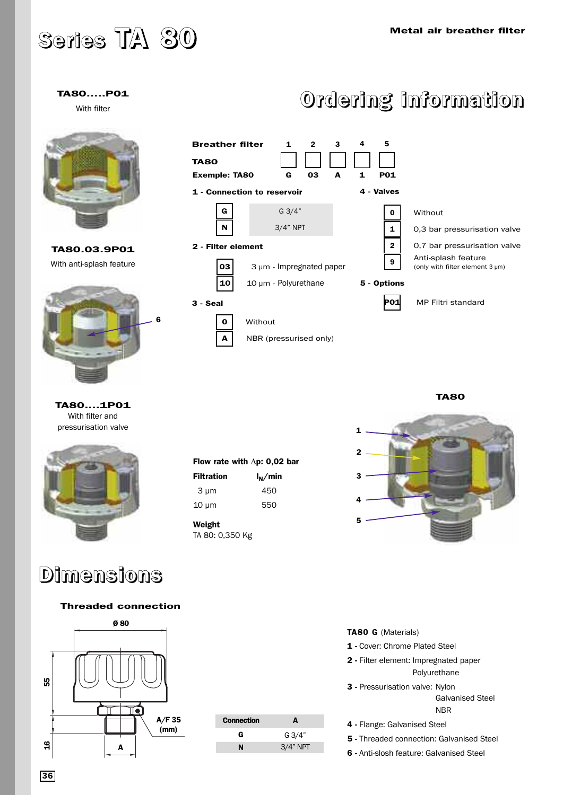## **Series TA 80**

### **TA80.....P01**

With filter



**TA80.03.9P01** With anti-splash feature



**TA80....1P01** With filter and pressurisation valve



### **Dimensions**

### **Threaded connection**



| <b>Connection</b> | A               |
|-------------------|-----------------|
| G                 | $G \frac{3}{4}$ |
| N                 | $3/4"$ NPT      |

**Flow rate with** Δ**p: 0,02 bar** Filtration  $I_N/m$ in 3 µm 450 10 µm 550

**Weight**

TA 80: 0,350 Kg

## **Ordering information**



**TA80** 



#### **TA80 G** (Materials)

**1 -** Cover: Chrome Plated Steel

- **2 -** Filter element: Impregnated paper Polyurethane
- **3 -** Pressurisation valve: Nylon

Galvanised Steel NBR

- **4 -** Flange: Galvanised Steel
- **5 -** Threaded connection: Galvanised Steel
- **6 -** Anti-slosh feature: Galvanised Steel

**36**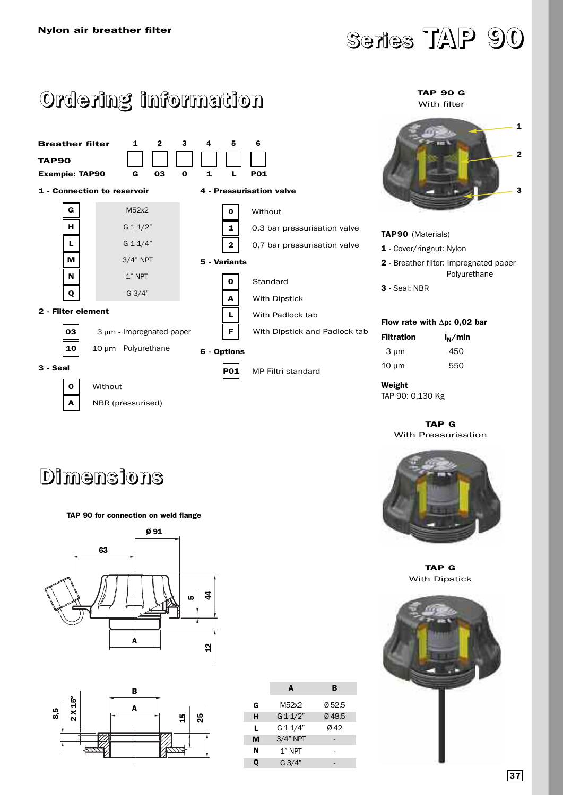

## **Ordering information**



#### **TAP 90 G** With filter



| 1 - Cover/ringnut: Nylon             |                                                               |  |
|--------------------------------------|---------------------------------------------------------------|--|
|                                      | <b>2</b> - Breather filter: Impregnated paper<br>Polyurethane |  |
| <b>3 - Seal: NBR</b>                 |                                                               |  |
|                                      |                                                               |  |
| Flow rate with $\Delta p$ : 0.02 bar |                                                               |  |
| <b>Filtration</b>                    | $I_N/m$ in                                                    |  |
| 3 µm                                 | 450                                                           |  |
| 10 um                                | 550                                                           |  |

**TAP90** (Materials)

**Weight** TAP 90: 0,130 Kg

**TAP G** With Pressurisation



**TAP G** With Dipstick



### **Dimensions**

### **TAP 90 for connection on weld flange**





|   | A          | в      |
|---|------------|--------|
| G | M52x2      | Ø 52.5 |
| н | G 1 1/2"   | Ø48.5  |
| L | G 1 1/4"   | Ø42    |
| м | $3/4"$ NPT |        |
| N | 1" NPT     |        |
| 0 | G3/4"      |        |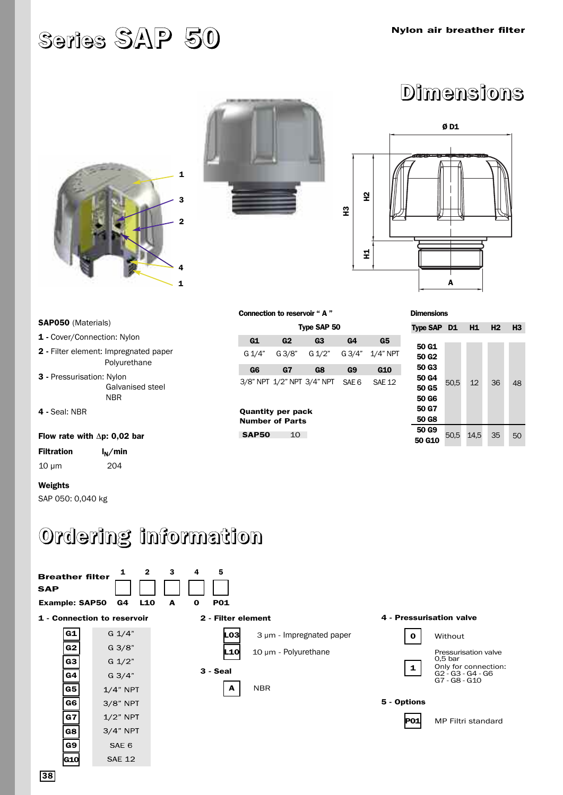## **Series SAP 50**





**Dimensions**



| <b>SAP050</b> (Materials)                                    |  |  |
|--------------------------------------------------------------|--|--|
| 1 - Cover/Connection: Nylon                                  |  |  |
| <b>2</b> - Filter element: Impregnated paper<br>Polyurethane |  |  |
| 3 - Pressurisation: Nylon<br>Galvanised steel<br>NBR         |  |  |
| 4 - Seal: NBR                                                |  |  |
| Flow rate with $\Delta p$ : 0.02 bar                         |  |  |
| <b>Filtration</b><br>$I_N/m$ in                              |  |  |
| $10 \mu m$<br>204                                            |  |  |

| Connection to reservoir " A " |  |  |
|-------------------------------|--|--|
| Type CAD                      |  |  |

| Type SAP 50 |                            |        |                  |                 |
|-------------|----------------------------|--------|------------------|-----------------|
| G1          | G2                         | G3     | G4               | G5              |
| G 1/4"      | G 3/8"                     | G 1/2" |                  | G 3/4" 1/4" NPT |
| G6          | G7                         | G8     | G9               | G10             |
|             | 3/8" NPT 1/2" NPT 3/4" NPT |        | SAF <sub>6</sub> | <b>SAF 12</b>   |

**Quantity per pack Number of Parts SAP50** 10

| <b>Dimensions</b> |  |  |
|-------------------|--|--|
|                   |  |  |

| Type SAP D1       |      | H1   | H <sub>2</sub> | H3 |
|-------------------|------|------|----------------|----|
|                   |      |      |                |    |
| 50 G1             |      |      |                |    |
| 50 G <sub>2</sub> |      |      |                |    |
| 50 G3             |      |      |                |    |
| 50 G4             | 50,5 | 12   | 36             | 48 |
| 50 G5             |      |      |                |    |
| 50 G6             |      |      |                |    |
| 50 G7             |      |      |                |    |
| 50 G8             |      |      |                |    |
| 50 G9             |      |      |                |    |
| 50 G10            | 50.5 | 14.5 | 35             | 50 |

## **Ordering information**



**Weights** 

SAP 050: 0,040 kg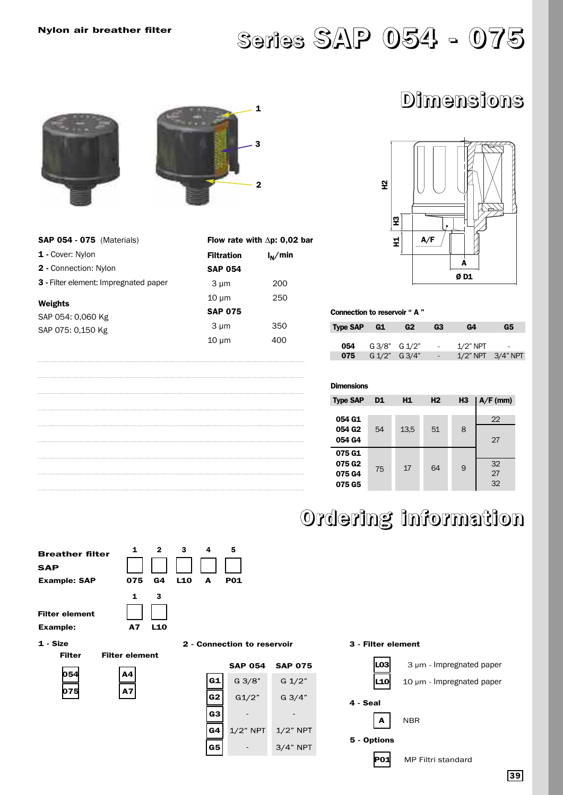## **Series SAP 054 - 075**

### **Dimensions**



| <b>SAP 054 - 075</b> (Materials)             | <b>Flow rat</b>   |
|----------------------------------------------|-------------------|
| 1 - Cover: Nylon                             | <b>Filtration</b> |
| <b>2</b> - Connection: Nylon                 | <b>SAP 054</b>    |
| <b>3</b> - Filter element: Impregnated paper | 3 µm              |
| Weights                                      | $10 \mu m$        |
| SAP 054: 0.060 Kg                            | <b>SAP 075</b>    |
| SAP 075: 0,150 Kg                            | 3 um              |

|                | Flow rate with $\Delta p$ : 0.02 bar |
|----------------|--------------------------------------|
| Filtration     | $I_N/m$ in                           |
| <b>SAP 054</b> |                                      |
| 3 µm           | 200                                  |
| $10 \mu m$     | 250                                  |
| <b>SAP 075</b> |                                      |
| 3 µm           | 350                                  |
| 10 µm          | 400                                  |
|                |                                      |



| Connection to reservoir "A" |  |  |  |
|-----------------------------|--|--|--|
|                             |  |  |  |

| <b>Type SAP</b> | G1            | G2            | G3     | G4          | G5                      |
|-----------------|---------------|---------------|--------|-------------|-------------------------|
|                 |               |               |        |             |                         |
| 054             |               | G 3/8" G 1/2" | $\sim$ | $1/2$ " NPT | -                       |
| 075             | G 1/2" G 3/4" |               | $\sim$ |             | $1/2$ " NPT $3/4$ " NPT |

### **Dimensions**

| <b>Type SAP</b>              | D <sub>1</sub> | <b>H1</b> | H <sub>2</sub> | H <sub>3</sub> | $A/F$ (mm) |
|------------------------------|----------------|-----------|----------------|----------------|------------|
| 054 G1<br>054 G <sub>2</sub> |                |           |                |                | 22         |
| 054 G4                       | 54             | 13,5      | 51             | 8              | 27         |
| 075 G1<br>075 G <sub>2</sub> | 75             | 17        | 64             | 9              | 32         |
| 075 G4<br>075 G5             |                |           |                |                | 27<br>32   |

## **Ordering information**

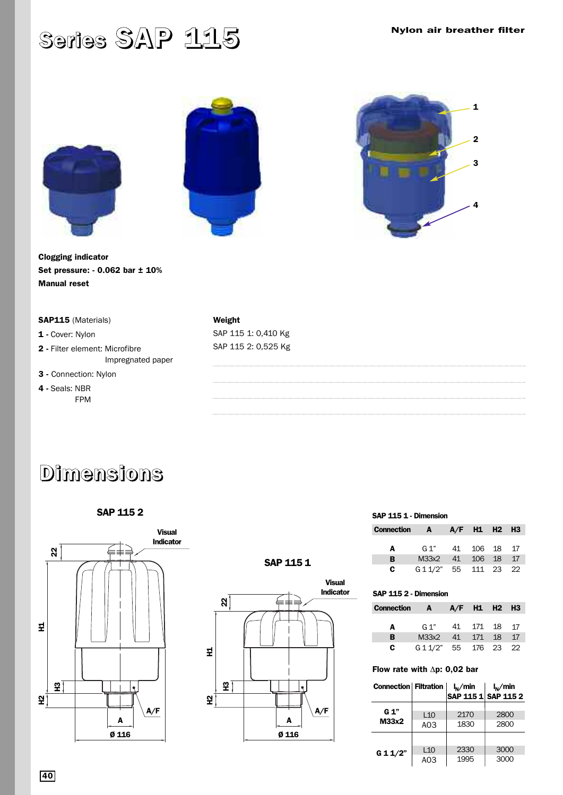## **Series SAP 115**







**Clogging indicator Set pressure: - 0.062 bar ± 10% Manual reset**

### **SAP115** (Materials)

**1 -** Cover: Nylon

- **2 -** Filter element: Microfibre Impregnated paper
- **3** Connection: Nylon
- **4 -** Seals: NBR FPM

### **Weight**  SAP 115 1: 0,410 Kg SAP 115 2: 0,525 Kg

## **Dimensions**





### **SAP 115 1**



#### **SAP 115 1 - Dimension**

| <b>Connection A</b> |                       |    | $A/F$ H1 H2 H3 |  |
|---------------------|-----------------------|----|----------------|--|
| A                   | G 1" 41 106 18 17     |    |                |  |
| в                   | M33x2                 | 41 | 106 18 17      |  |
| c.                  | G 1 1/2" 55 111 23 22 |    |                |  |

### **SAP 115 2 - Dimension**

| <b>Connection A</b> |                       | $A/F$ H1 H2 H3 |  |
|---------------------|-----------------------|----------------|--|
|                     |                       |                |  |
| A                   | G 1" 41 171 18 17     |                |  |
| в                   | M33x2                 | 41 171 18 17   |  |
| c.                  | G 1 1/2" 55 176 23 22 |                |  |

### **Flow rate with** Δ**p: 0,02 bar**

| Connection   Filtration |                        | $I_N/m$ in   | $I_N/m$ in<br>SAP 115 1 SAP 115 2 |
|-------------------------|------------------------|--------------|-----------------------------------|
| G 1"<br>M33x2           | L10<br>A <sub>03</sub> | 2170<br>1830 | 2800<br>2800                      |
| G 11/2"                 | L10<br>A <sub>03</sub> | 2330<br>1995 | 3000<br>3000                      |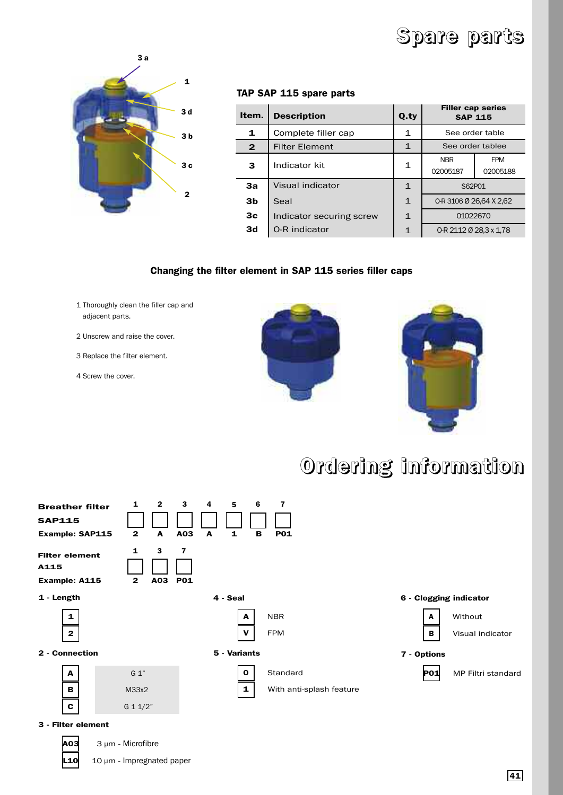## **Spare parts**



### **TAP SAP 115 spare parts**

| Item.          | <b>Description</b>       | Q.ty         | <b>Filler cap series</b><br><b>SAP 115</b>       |                 |  |  |
|----------------|--------------------------|--------------|--------------------------------------------------|-----------------|--|--|
| 1              | Complete filler cap      | 1            |                                                  | See order table |  |  |
| $\mathbf{2}$   | <b>Filter Element</b>    | $\mathbf 1$  | See order tablee                                 |                 |  |  |
| 3              | Indicator kit            | 1            | <b>NBR</b><br><b>FPM</b><br>02005187<br>02005188 |                 |  |  |
| 3a             | Visual indicator         | $\mathbf{1}$ | S62P01                                           |                 |  |  |
| 3 <sub>b</sub> | Seal                     | $\mathbf{1}$ | 0-R 3106 Ø 26.64 X 2.62                          |                 |  |  |
| 3 <sub>c</sub> | Indicator securing screw | $\mathbf{1}$ | 01022670                                         |                 |  |  |
| 3d             | O-R indicator            | $\mathbf{1}$ | 0-R 2112 Ø 28,3 x 1,78                           |                 |  |  |

### **Changing the filter element in SAP 115 series filler caps**

- 1 Thoroughly clean the filler cap and adjacent parts.
- 2 Unscrew and raise the cover.
- 3 Replace the filter element.
- 4 Screw the cover.





## **Ordering information**



**A03** 3 µm - Microfibre

**10** 10 µm - Impregnated paper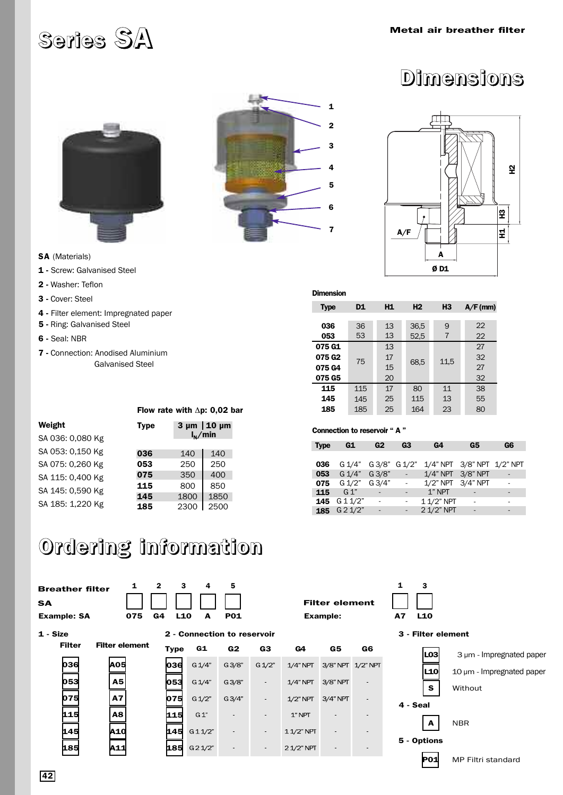## **Series SA Metal air breather filter**





## **Dimensions**



- **SA** (Materials)
- **1** Screw: Galvanised Steel
- **2 -** Washer: Teflon
- **3 -** Cover: Steel
- **4 -** Filter element: Impregnated paper
- **5 -** Ring: Galvanised Steel
- **6** Seal: NBR

**Weight** 

SA 036: 0,080 Kg SA 053: 0,150 Kg SA 075: 0,260 Kg SA 115: 0,400 Kg SA 145: 0,590 Kg SA 185: 1,220 Kg

**7 -** Connection: Anodised Aluminium Galvanised Steel

| <b>Dimension</b>   |     |    |                |                |            |
|--------------------|-----|----|----------------|----------------|------------|
| <b>Type</b>        | D1  | H1 | H <sub>2</sub> | H <sub>3</sub> | $A/F$ (mm) |
|                    |     |    |                |                |            |
| 036                | 36  | 13 | 36,5           | 9              | 22         |
| 053                | 53  | 13 | 52,5           | 7              | 22         |
| 075 G1             |     | 13 |                |                | 27         |
| 075 G <sub>2</sub> | 75  | 17 | 68,5           | 11,5           | 32         |
| 075 G4             |     | 15 |                |                | 27         |
| 075 G5             |     | 20 |                |                | 32         |
| 115                | 115 | 17 | 80             | 11             | 38         |
| 145                | 145 | 25 | 115            | 13             | 55         |
| 185                | 185 | 25 | 164            | 23             | 80         |

#### **Connection to reservoir " A "**

| <b>Type</b> | G1              | G2          | G3 | G4                         | G5 | G6 |
|-------------|-----------------|-------------|----|----------------------------|----|----|
|             |                 |             |    |                            |    |    |
| 036         | G 1/4"          | G3/8" G1/2" |    | 1/4" NPT 3/8" NPT 1/2" NPT |    |    |
| 053         | $G \frac{1}{4}$ | G3/8"       |    | 1/4" NPT 3/8" NPT          |    |    |
| 075         | G 1/2" G 3/4"   |             |    | 1/2" NPT 3/4" NPT          |    |    |
| 115         | $G_1$           |             |    | $1"$ NPT                   |    |    |
| 145         | G 11/2"         |             |    | 1 1/2" NPT                 |    |    |
| 185         | G 2 1/2"        |             |    | 2 1/2" NPT                 |    |    |

# **Ordering information**

**Flow rate with** Δ**p: 0,02 bar Type 3 µm 10 µm**

**036** 140 140 **053** 250 250 **075** 350 400 **115** 800 850 **145** 1800 1850 **185** 2300 2500

 $I_N/m$ in

| <b>Breather filter</b><br><b>SA</b><br><b>Example: SA</b> | 1<br>075              | $\overline{2}$<br>3<br>L10<br>G <sub>4</sub> | 4<br>А                      | 5<br><b>P01</b> |           |              | <b>Filter element</b><br><b>Example:</b> |                   | 1<br>3<br>A7<br>L10 |                                |
|-----------------------------------------------------------|-----------------------|----------------------------------------------|-----------------------------|-----------------|-----------|--------------|------------------------------------------|-------------------|---------------------|--------------------------------|
| 1 - Size                                                  |                       |                                              | 2 - Connection to reservoir |                 |           |              |                                          |                   | 3 - Filter element  |                                |
| <b>Filter</b>                                             | <b>Filter element</b> | <b>Type</b>                                  | G1                          | G <sub>2</sub>  | G3        | G4           | G5                                       | G6                | LO3                 | $3 \mu m$ - Impregnated paper  |
| $\boldsymbol{0}$ 36                                       | <b>Aos</b>            | 036                                          | G 1/4"                      | G3/8"           | $G\,1/2"$ | $1/4"$ NPT   |                                          | 3/8" NPT 1/2" NPT |                     |                                |
|                                                           |                       |                                              |                             |                 |           |              |                                          |                   | L10                 | $10 \mu m$ - Impregnated paper |
| 053                                                       | <b>A5</b>             | 053                                          | G 1/4"                      | G3/8"           | $\sim$    | $1/4"$ NPT   | 3/8" NPT                                 | $\sim$            | s.                  | Without                        |
| 075                                                       | <b>A7</b>             | 075                                          | G 1/2"                      | G3/4"           | $\sim$    | $1/2$ " NPT  | $3/4"$ NPT                               | $\sim$            | 4 - Seal            |                                |
| 115                                                       | A8                    | 115                                          | G1"                         |                 | $\sim$    | $1$ " NPT    |                                          | ٠                 |                     |                                |
|                                                           |                       |                                              |                             |                 |           |              |                                          |                   | A                   | <b>NBR</b>                     |
| <b>145</b>                                                | A10                   | 145                                          | G11/2"                      |                 | $\sim$    | $11/2$ " NPT |                                          | $\blacksquare$    | 5 - Options         |                                |
| <b>185</b>                                                | A11                   | 185                                          | G 2 1/2"                    |                 | $\sim$    | 21/2" NPT    |                                          |                   |                     |                                |
|                                                           |                       |                                              |                             |                 |           |              |                                          |                   | P01                 | MP Filtri standard             |

|--|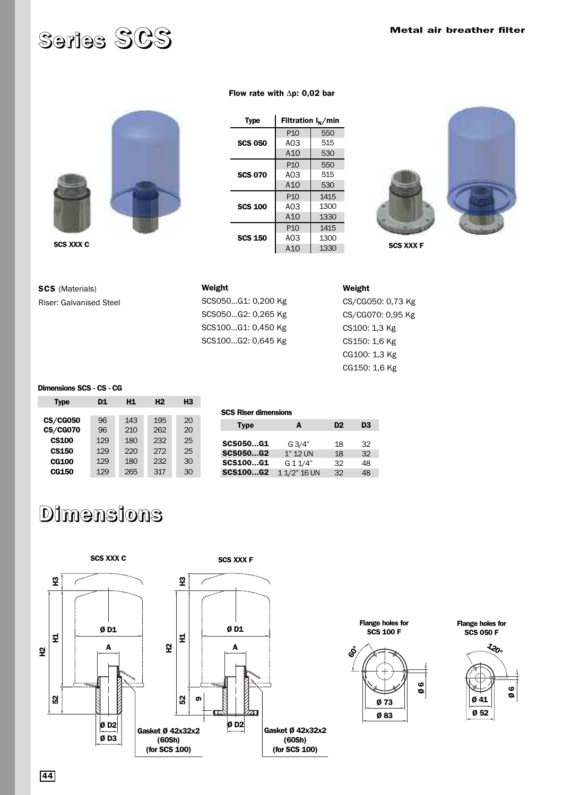## **Series SCS Metal air breather filter**



### **SCS 050**  A03 A10 P10



**Type** | **Filtration**  $I_N/m$ in

**Flow rate with** Δ**p: 0,02 bar**



**SCS** (Materials) Riser: Galvanised Steel

**Weight**  SCS050...G1: 0,200 Kg SCS050...G2: 0,265 Kg SCS100...G1: 0,450 Kg SCS100...G2: 0,645 Kg

CS/CG050: 0,73 Kg CS/CG070: 0,95 Kg CS100: 1,3 Kg CS150: 1,6 Kg CG100: 1,3 Kg CG150: 1,6 Kg

### **Dimensions SCS - CS - CG**

| <b>Type</b>     | D1  | H1  | H <sub>2</sub> | H <sub>3</sub> |
|-----------------|-----|-----|----------------|----------------|
|                 |     |     |                |                |
| <b>CS/CG050</b> | 96  | 143 | 195            | 20             |
| <b>CS/CG070</b> | 96  | 210 | 262            | 20             |
| <b>CS100</b>    | 129 | 180 | 232            | 25             |
| <b>CS150</b>    | 129 | 220 | 272            | 25             |
| <b>CG100</b>    | 129 | 180 | 232            | 30             |
| CG150           | 129 | 265 | 317            | 30             |

| <b>SCS Riser dimensions</b> |              |                |                |  |  |
|-----------------------------|--------------|----------------|----------------|--|--|
| <b>Type</b>                 | A            | D <sub>2</sub> | D <sub>3</sub> |  |  |
| <b>SCS050G1</b>             | G3/4"        | 18             | 32             |  |  |
| <b>SCS050G2</b>             | 1" 12 UN     | 18             | 32             |  |  |
| <b>SCS100G1</b>             | $G$ 1 1/4"   | 32             | 48             |  |  |
| <b>SCS100G2</b>             | 1 1/2" 16 UN | 32             | 48             |  |  |

## **Dimensions**

**SCS XXX C SCS XXX F H3 H3 Flange holes for Ø D1 Ø D1 SCS 100 F H1** 보 **52 H1 H2 A A H2 60°** ន **52 9 Ø D2 Ø D2 Gasket Ø 42x32x2 Gasket Ø 42x32x2 Ø D3 (60Sh) (60Sh) (for SCS 100) (for SCS 100)**

**Flange holes for** 



**SCS 050 F**